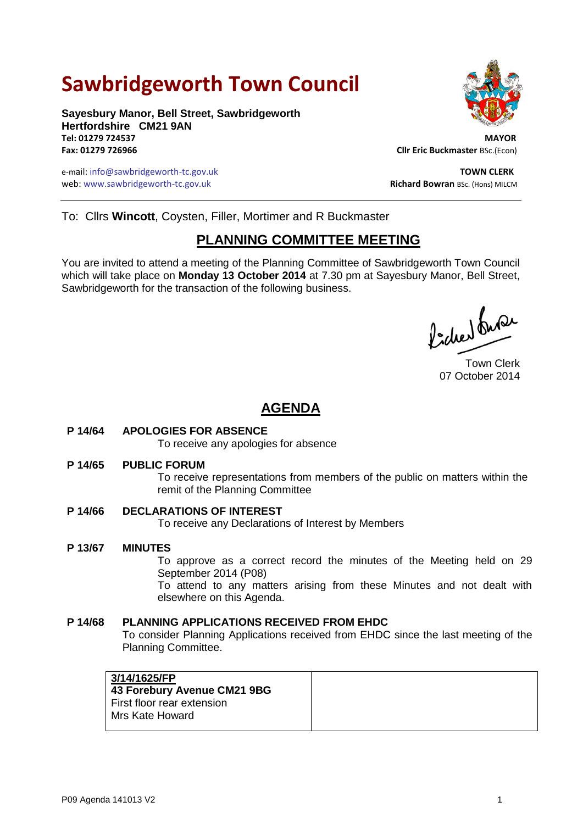# **Sawbridgeworth Town Council**

**Sayesbury Manor, Bell Street, Sawbridgeworth Hertfordshire CM21 9AN Tel: 01279 724537 MAYOR**

e-mail: info@sawbridgeworth-tc.gov.uk **TOWN CLERK** web: www.sawbridgeworth-tc.gov.uk **Richard Bowran BSc. (Hons) MILCM** Richard Bowran BSc. (Hons) MILCM



**Fax: 01279 726966 Cllr Eric Buckmaster** BSc.(Econ)

To: Cllrs **Wincott**, Coysten, Filler, Mortimer and R Buckmaster

# **PLANNING COMMITTEE MEETING**

You are invited to attend a meeting of the Planning Committee of Sawbridgeworth Town Council which will take place on **Monday 13 October 2014** at 7.30 pm at Sayesbury Manor, Bell Street, Sawbridgeworth for the transaction of the following business.

Picked fuse

Town Clerk 07 October 2014

# **AGENDA**

### **P 14/64 APOLOGIES FOR ABSENCE**

To receive any apologies for absence

#### **P 14/65 PUBLIC FORUM**

To receive representations from members of the public on matters within the remit of the Planning Committee

### **P 14/66 DECLARATIONS OF INTEREST**

To receive any Declarations of Interest by Members

### **P 13/67 MINUTES**

To approve as a correct record the minutes of the Meeting held on 29 September 2014 (P08)

To attend to any matters arising from these Minutes and not dealt with elsewhere on this Agenda.

#### **P 14/68 PLANNING APPLICATIONS RECEIVED FROM EHDC**

To consider Planning Applications received from EHDC since the last meeting of the Planning Committee.